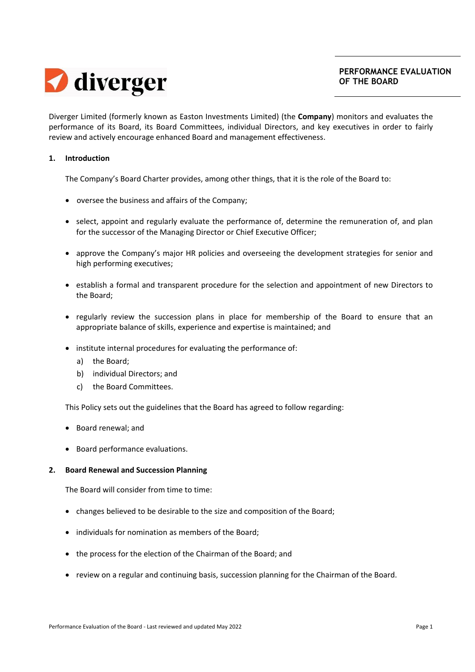

Diverger Limited (formerly known as Easton Investments Limited) (the **Company**) monitors and evaluates the performance of its Board, its Board Committees, individual Directors, and key executives in order to fairly review and actively encourage enhanced Board and management effectiveness.

### **1. Introduction**

The Company's Board Charter provides, among other things, that it is the role of the Board to:

- oversee the business and affairs of the Company;
- select, appoint and regularly evaluate the performance of, determine the remuneration of, and plan for the successor of the Managing Director or Chief Executive Officer;
- approve the Company's major HR policies and overseeing the development strategies for senior and high performing executives;
- establish a formal and transparent procedure for the selection and appointment of new Directors to the Board;
- regularly review the succession plans in place for membership of the Board to ensure that an appropriate balance of skills, experience and expertise is maintained; and
- institute internal procedures for evaluating the performance of:
	- a) the Board;
	- b) individual Directors; and
	- c) the Board Committees.

This Policy sets out the guidelines that the Board has agreed to follow regarding:

- Board renewal; and
- Board performance evaluations.

### **2. Board Renewal and Succession Planning**

The Board will consider from time to time:

- changes believed to be desirable to the size and composition of the Board;
- individuals for nomination as members of the Board:
- the process for the election of the Chairman of the Board; and
- review on a regular and continuing basis, succession planning for the Chairman of the Board.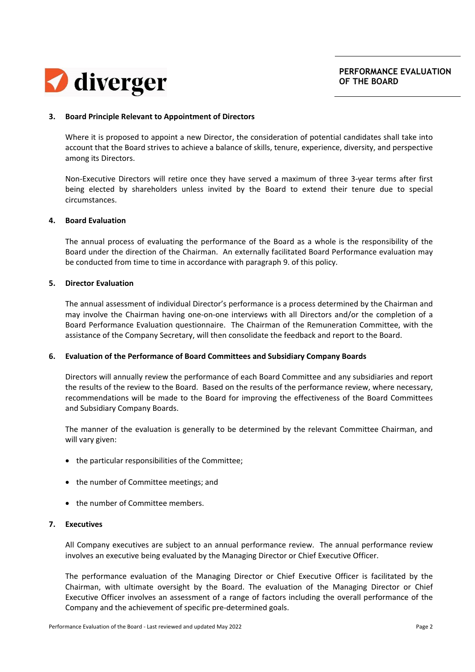

### **3. Board Principle Relevant to Appointment of Directors**

Where it is proposed to appoint a new Director, the consideration of potential candidates shall take into account that the Board strives to achieve a balance of skills, tenure, experience, diversity, and perspective among its Directors.

Non‐Executive Directors will retire once they have served a maximum of three 3‐year terms after first being elected by shareholders unless invited by the Board to extend their tenure due to special circumstances.

#### **4. Board Evaluation**

The annual process of evaluating the performance of the Board as a whole is the responsibility of the Board under the direction of the Chairman. An externally facilitated Board Performance evaluation may be conducted from time to time in accordance with paragraph 9. of this policy.

### **5. Director Evaluation**

The annual assessment of individual Director's performance is a process determined by the Chairman and may involve the Chairman having one‐on‐one interviews with all Directors and/or the completion of a Board Performance Evaluation questionnaire. The Chairman of the Remuneration Committee, with the assistance of the Company Secretary, will then consolidate the feedback and report to the Board.

### **6. Evaluation of the Performance of Board Committees and Subsidiary Company Boards**

Directors will annually review the performance of each Board Committee and any subsidiaries and report the results of the review to the Board. Based on the results of the performance review, where necessary, recommendations will be made to the Board for improving the effectiveness of the Board Committees and Subsidiary Company Boards.

The manner of the evaluation is generally to be determined by the relevant Committee Chairman, and will vary given:

- the particular responsibilities of the Committee;
- the number of Committee meetings; and
- the number of Committee members.

### **7. Executives**

All Company executives are subject to an annual performance review. The annual performance review involves an executive being evaluated by the Managing Director or Chief Executive Officer.

The performance evaluation of the Managing Director or Chief Executive Officer is facilitated by the Chairman, with ultimate oversight by the Board. The evaluation of the Managing Director or Chief Executive Officer involves an assessment of a range of factors including the overall performance of the Company and the achievement of specific pre‐determined goals.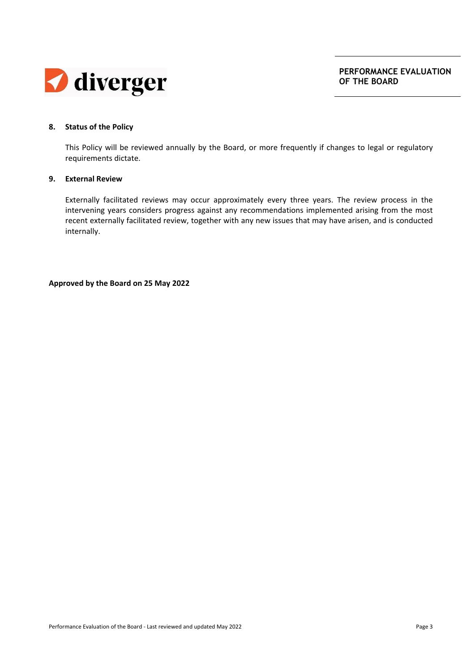

# **8. Status of the Policy**

This Policy will be reviewed annually by the Board, or more frequently if changes to legal or regulatory requirements dictate.

### **9. External Review**

Externally facilitated reviews may occur approximately every three years. The review process in the intervening years considers progress against any recommendations implemented arising from the most recent externally facilitated review, together with any new issues that may have arisen, and is conducted internally.

**Approved by the Board on 25 May 2022**